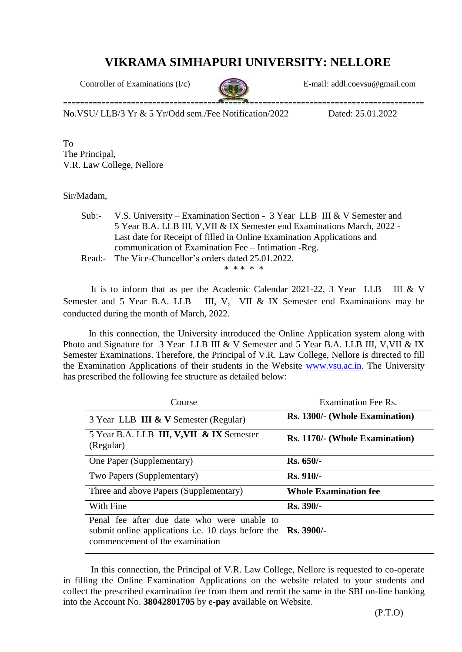## **VIKRAMA SIMHAPURI UNIVERSITY: NELLORE**



Controller of Examinations (I/c) E-mail: add[l.coevsu@gmail.com](mailto:coevsu@gmail.com)

No.VSU/ LLB/3 Yr & 5 Yr/Odd sem./Fee Notification/2022 Dated: 25.01.2022

To The Principal, V.R. Law College, Nellore

## Sir/Madam,

Sub:- V.S. University – Examination Section - 3 Year LLB III & V Semester and 5 Year B.A. LLB III, V,VII & IX Semester end Examinations March, 2022 - Last date for Receipt of filled in Online Examination Applications and communication of Examination Fee – Intimation -Reg. Read:- The Vice-Chancellor's orders dated 25.01.2022.

\* \* \* \* \*

It is to inform that as per the Academic Calendar 2021-22, 3 Year LLB III & V Semester and 5 Year B.A. LLB III, V, VII & IX Semester end Examinations may be conducted during the month of March, 2022.

 In this connection, the University introduced the Online Application system along with Photo and Signature for 3 Year LLB III & V Semester and 5 Year B.A. LLB III, V, VII & IX Semester Examinations. Therefore, the Principal of V.R. Law College, Nellore is directed to fill the Examination Applications of their students in the Website [www.vsu.ac.in](http://www.vsu.ac.in/). The University has prescribed the following fee structure as detailed below:

| Course                                                                                                                                      | Examination Fee Rs.            |
|---------------------------------------------------------------------------------------------------------------------------------------------|--------------------------------|
| 3 Year LLB III & V Semester (Regular)                                                                                                       | Rs. 1300/- (Whole Examination) |
| 5 Year B.A. LLB III, V, VII & IX Semester<br>(Regular)                                                                                      | Rs. 1170/- (Whole Examination) |
| One Paper (Supplementary)                                                                                                                   | Rs. 650/-                      |
| Two Papers (Supplementary)                                                                                                                  | <b>Rs. 910/-</b>               |
| Three and above Papers (Supplementary)                                                                                                      | <b>Whole Examination fee</b>   |
| With Fine                                                                                                                                   | <b>Rs. 390/-</b>               |
| Penal fee after due date who were unable to<br>submit online applications <i>i.e.</i> 10 days before the<br>commencement of the examination | Rs. 3900/-                     |

In this connection, the Principal of V.R. Law College, Nellore is requested to co-operate in filling the Online Examination Applications on the website related to your students and collect the prescribed examination fee from them and remit the same in the SBI on-line banking into the Account No. **38042801705** by e**-pay** available on Website.